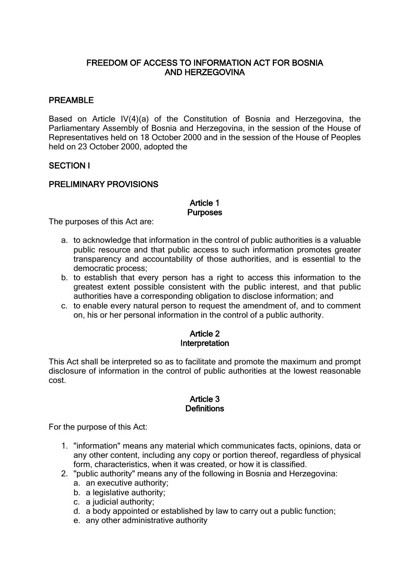## FREEDOM OF ACCESS TO INFORMATION ACT FOR BOSNIA AND HERZEGOVINA

### PREAMBLE

Based on Article IV(4)(a) of the Constitution of Bosnia and Herzegovina, the Parliamentary Assembly of Bosnia and Herzegovina, in the session of the House of Representatives held on 18 October 2000 and in the session of the House of Peoples held on 23 October 2000, adopted the

### SECTION I

### PRELIMINARY PROVISIONS

### Article 1 **Purposes**

The purposes of this Act are:

- a. to acknowledge that information in the control of public authorities is a valuable public resource and that public access to such information promotes greater transparency and accountability of those authorities, and is essential to the democratic process;
- b. to establish that every person has a right to access this information to the greatest extent possible consistent with the public interest, and that public authorities have a corresponding obligation to disclose information; and
- c. to enable every natural person to request the amendment of, and to comment on, his or her personal information in the control of a public authority.

#### Article 2 **Interpretation**

This Act shall be interpreted so as to facilitate and promote the maximum and prompt disclosure of information in the control of public authorities at the lowest reasonable cost.

#### Article 3 **Definitions**

For the purpose of this Act:

- 1. "information" means any material which communicates facts, opinions, data or any other content, including any copy or portion thereof, regardless of physical form, characteristics, when it was created, or how it is classified.
- 2. "public authority" means any of the following in Bosnia and Herzegovina:
	- a. an executive authority;
	- b. a legislative authority;
	- c. a judicial authority;
	- d. a body appointed or established by law to carry out a public function;
	- e. any other administrative authority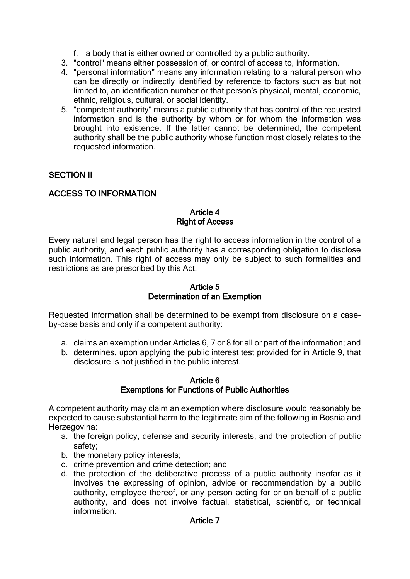- f. a body that is either owned or controlled by a public authority.
- 3. "control" means either possession of, or control of access to, information.
- 4. "personal information" means any information relating to a natural person who can be directly or indirectly identified by reference to factors such as but not limited to, an identification number or that person's physical, mental, economic, ethnic, religious, cultural, or social identity.
- 5. "competent authority" means a public authority that has control of the requested information and is the authority by whom or for whom the information was brought into existence. If the latter cannot be determined, the competent authority shall be the public authority whose function most closely relates to the requested information.

## SECTION II

# ACCESS TO INFORMATION

### Article 4 Right of Access

Every natural and legal person has the right to access information in the control of a public authority, and each public authority has a corresponding obligation to disclose such information. This right of access may only be subject to such formalities and restrictions as are prescribed by this Act.

#### Article 5 Determination of an Exemption

Requested information shall be determined to be exempt from disclosure on a caseby-case basis and only if a competent authority:

- a. claims an exemption under Articles 6, 7 or 8 for all or part of the information; and
- b. determines, upon applying the public interest test provided for in Article 9, that disclosure is not justified in the public interest.

#### Article 6 Exemptions for Functions of Public Authorities

A competent authority may claim an exemption where disclosure would reasonably be expected to cause substantial harm to the legitimate aim of the following in Bosnia and Herzegovina:

- a. the foreign policy, defense and security interests, and the protection of public safety;
- b. the monetary policy interests;
- c. crime prevention and crime detection; and
- d. the protection of the deliberative process of a public authority insofar as it involves the expressing of opinion, advice or recommendation by a public authority, employee thereof, or any person acting for or on behalf of a public authority, and does not involve factual, statistical, scientific, or technical information.

### Article 7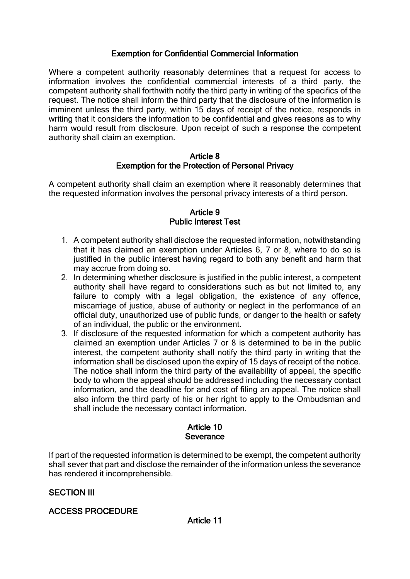## Exemption for Confidential Commercial Information

Where a competent authority reasonably determines that a request for access to information involves the confidential commercial interests of a third party, the competent authority shall forthwith notify the third party in writing of the specifics of the request. The notice shall inform the third party that the disclosure of the information is imminent unless the third party, within 15 days of receipt of the notice, responds in writing that it considers the information to be confidential and gives reasons as to why harm would result from disclosure. Upon receipt of such a response the competent authority shall claim an exemption.

#### Article 8 Exemption for the Protection of Personal Privacy

A competent authority shall claim an exemption where it reasonably determines that the requested information involves the personal privacy interests of a third person.

#### Article 9 Public Interest Test

- 1. A competent authority shall disclose the requested information, notwithstanding that it has claimed an exemption under Articles 6, 7 or 8, where to do so is justified in the public interest having regard to both any benefit and harm that may accrue from doing so.
- 2. In determining whether disclosure is justified in the public interest, a competent authority shall have regard to considerations such as but not limited to, any failure to comply with a legal obligation, the existence of any offence, miscarriage of justice, abuse of authority or neglect in the performance of an official duty, unauthorized use of public funds, or danger to the health or safety of an individual, the public or the environment.
- 3. If disclosure of the requested information for which a competent authority has claimed an exemption under Articles 7 or 8 is determined to be in the public interest, the competent authority shall notify the third party in writing that the information shall be disclosed upon the expiry of 15 days of receipt of the notice. The notice shall inform the third party of the availability of appeal, the specific body to whom the appeal should be addressed including the necessary contact information, and the deadline for and cost of filing an appeal. The notice shall also inform the third party of his or her right to apply to the Ombudsman and shall include the necessary contact information.

### Article 10 **Severance**

If part of the requested information is determined to be exempt, the competent authority shall sever that part and disclose the remainder of the information unless the severance has rendered it incomprehensible.

## SECTION III

## ACCESS PROCEDURE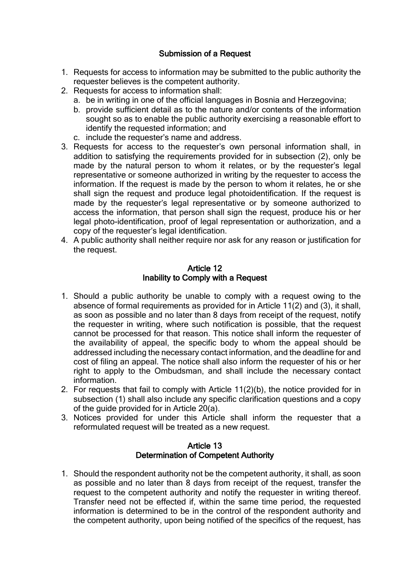# Submission of a Request

- 1. Requests for access to information may be submitted to the public authority the requester believes is the competent authority.
- 2. Requests for access to information shall:
	- a. be in writing in one of the official languages in Bosnia and Herzegovina;
	- b. provide sufficient detail as to the nature and/or contents of the information sought so as to enable the public authority exercising a reasonable effort to identify the requested information; and
	- c. include the requester's name and address.
- 3. Requests for access to the requester's own personal information shall, in addition to satisfying the requirements provided for in subsection (2), only be made by the natural person to whom it relates, or by the requester's legal representative or someone authorized in writing by the requester to access the information. If the request is made by the person to whom it relates, he or she shall sign the request and produce legal photoidentification. If the request is made by the requester's legal representative or by someone authorized to access the information, that person shall sign the request, produce his or her legal photo-identification, proof of legal representation or authorization, and a copy of the requester's legal identification.
- 4. A public authority shall neither require nor ask for any reason or justification for the request.

### Article 12 Inability to Comply with a Request

- 1. Should a public authority be unable to comply with a request owing to the absence of formal requirements as provided for in Article 11(2) and (3), it shall, as soon as possible and no later than 8 days from receipt of the request, notify the requester in writing, where such notification is possible, that the request cannot be processed for that reason. This notice shall inform the requester of the availability of appeal, the specific body to whom the appeal should be addressed including the necessary contact information, and the deadline for and cost of filing an appeal. The notice shall also inform the requester of his or her right to apply to the Ombudsman, and shall include the necessary contact information.
- 2. For requests that fail to comply with Article 11(2)(b), the notice provided for in subsection (1) shall also include any specific clarification questions and a copy of the guide provided for in Article 20(a).
- 3. Notices provided for under this Article shall inform the requester that a reformulated request will be treated as a new request.

### Article 13 Determination of Competent Authority

1. Should the respondent authority not be the competent authority, it shall, as soon as possible and no later than 8 days from receipt of the request, transfer the request to the competent authority and notify the requester in writing thereof. Transfer need not be effected if, within the same time period, the requested information is determined to be in the control of the respondent authority and the competent authority, upon being notified of the specifics of the request, has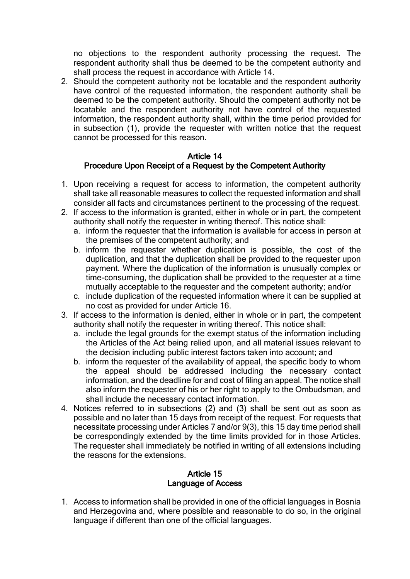no objections to the respondent authority processing the request. The respondent authority shall thus be deemed to be the competent authority and shall process the request in accordance with Article 14.

2. Should the competent authority not be locatable and the respondent authority have control of the requested information, the respondent authority shall be deemed to be the competent authority. Should the competent authority not be locatable and the respondent authority not have control of the requested information, the respondent authority shall, within the time period provided for in subsection (1), provide the requester with written notice that the request cannot be processed for this reason.

### Article 14 Procedure Upon Receipt of a Request by the Competent Authority

- 1. Upon receiving a request for access to information, the competent authority shall take all reasonable measures to collect the requested information and shall consider all facts and circumstances pertinent to the processing of the request.
- 2. If access to the information is granted, either in whole or in part, the competent authority shall notify the requester in writing thereof. This notice shall:
	- a. inform the requester that the information is available for access in person at the premises of the competent authority; and
	- b. inform the requester whether duplication is possible, the cost of the duplication, and that the duplication shall be provided to the requester upon payment. Where the duplication of the information is unusually complex or time-consuming, the duplication shall be provided to the requester at a time mutually acceptable to the requester and the competent authority; and/or
	- c. include duplication of the requested information where it can be supplied at no cost as provided for under Article 16.
- 3. If access to the information is denied, either in whole or in part, the competent authority shall notify the requester in writing thereof. This notice shall:
	- a. include the legal grounds for the exempt status of the information including the Articles of the Act being relied upon, and all material issues relevant to the decision including public interest factors taken into account; and
	- b. inform the requester of the availability of appeal, the specific body to whom the appeal should be addressed including the necessary contact information, and the deadline for and cost of filing an appeal. The notice shall also inform the requester of his or her right to apply to the Ombudsman, and shall include the necessary contact information.
- 4. Notices referred to in subsections (2) and (3) shall be sent out as soon as possible and no later than 15 days from receipt of the request. For requests that necessitate processing under Articles 7 and/or 9(3), this 15 day time period shall be correspondingly extended by the time limits provided for in those Articles. The requester shall immediately be notified in writing of all extensions including the reasons for the extensions.

## Article 15 Language of Access

1. Access to information shall be provided in one of the official languages in Bosnia and Herzegovina and, where possible and reasonable to do so, in the original language if different than one of the official languages.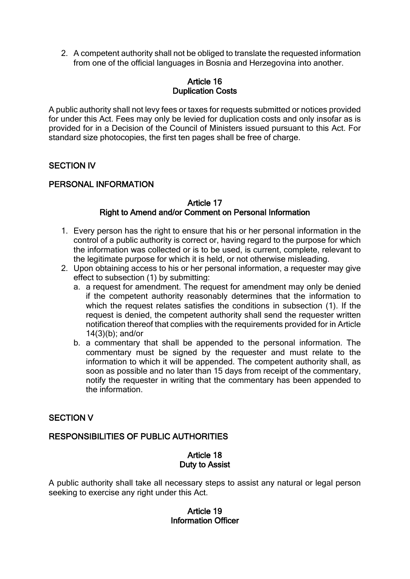2. A competent authority shall not be obliged to translate the requested information from one of the official languages in Bosnia and Herzegovina into another.

### Article 16 Duplication Costs

A public authority shall not levy fees or taxes for requests submitted or notices provided for under this Act. Fees may only be levied for duplication costs and only insofar as is provided for in a Decision of the Council of Ministers issued pursuant to this Act. For standard size photocopies, the first ten pages shall be free of charge.

# SECTION IV

# PERSONAL INFORMATION

#### Article 17 Right to Amend and/or Comment on Personal Information

- 1. Every person has the right to ensure that his or her personal information in the control of a public authority is correct or, having regard to the purpose for which the information was collected or is to be used, is current, complete, relevant to the legitimate purpose for which it is held, or not otherwise misleading.
- 2. Upon obtaining access to his or her personal information, a requester may give effect to subsection (1) by submitting:
	- a. a request for amendment. The request for amendment may only be denied if the competent authority reasonably determines that the information to which the request relates satisfies the conditions in subsection (1). If the request is denied, the competent authority shall send the requester written notification thereof that complies with the requirements provided for in Article 14(3)(b); and/or
	- b. a commentary that shall be appended to the personal information. The commentary must be signed by the requester and must relate to the information to which it will be appended. The competent authority shall, as soon as possible and no later than 15 days from receipt of the commentary, notify the requester in writing that the commentary has been appended to the information.

## SECTION V

## RESPONSIBILITIES OF PUBLIC AUTHORITIES

### Article 18 Duty to Assist

A public authority shall take all necessary steps to assist any natural or legal person seeking to exercise any right under this Act.

### Article 19 Information Officer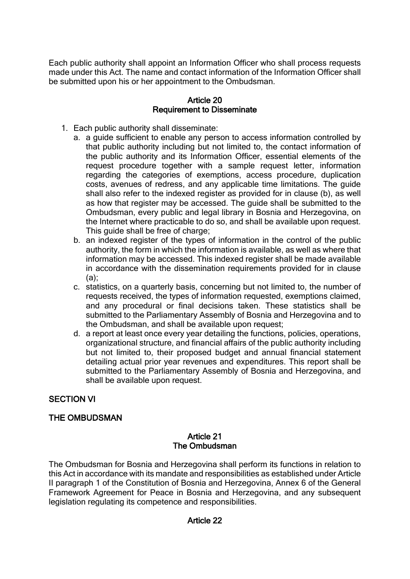Each public authority shall appoint an Information Officer who shall process requests made under this Act. The name and contact information of the Information Officer shall be submitted upon his or her appointment to the Ombudsman.

### Article 20 Requirement to Disseminate

- 1. Each public authority shall disseminate:
	- a. a guide sufficient to enable any person to access information controlled by that public authority including but not limited to, the contact information of the public authority and its Information Officer, essential elements of the request procedure together with a sample request letter, information regarding the categories of exemptions, access procedure, duplication costs, avenues of redress, and any applicable time limitations. The guide shall also refer to the indexed register as provided for in clause (b), as well as how that register may be accessed. The guide shall be submitted to the Ombudsman, every public and legal library in Bosnia and Herzegovina, on the Internet where practicable to do so, and shall be available upon request. This quide shall be free of charge:
	- b. an indexed register of the types of information in the control of the public authority, the form in which the information is available, as well as where that information may be accessed. This indexed register shall be made available in accordance with the dissemination requirements provided for in clause (a);
	- c. statistics, on a quarterly basis, concerning but not limited to, the number of requests received, the types of information requested, exemptions claimed, and any procedural or final decisions taken. These statistics shall be submitted to the Parliamentary Assembly of Bosnia and Herzegovina and to the Ombudsman, and shall be available upon request;
	- d. a report at least once every year detailing the functions, policies, operations, organizational structure, and financial affairs of the public authority including but not limited to, their proposed budget and annual financial statement detailing actual prior year revenues and expenditures. This report shall be submitted to the Parliamentary Assembly of Bosnia and Herzegovina, and shall be available upon request.

# SECTION VI

## THE OMBUDSMAN

### Article 21 The Ombudsman

The Ombudsman for Bosnia and Herzegovina shall perform its functions in relation to this Act in accordance with its mandate and responsibilities as established under Article II paragraph 1 of the Constitution of Bosnia and Herzegovina, Annex 6 of the General Framework Agreement for Peace in Bosnia and Herzegovina, and any subsequent legislation regulating its competence and responsibilities.

## Article 22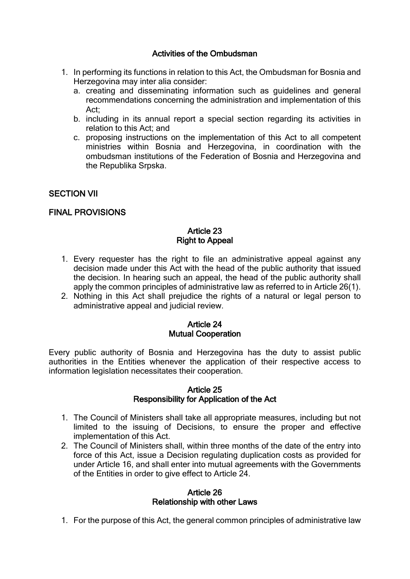### Activities of the Ombudsman

- 1. In performing its functions in relation to this Act, the Ombudsman for Bosnia and Herzegovina may inter alia consider:
	- a. creating and disseminating information such as guidelines and general recommendations concerning the administration and implementation of this Act;
	- b. including in its annual report a special section regarding its activities in relation to this Act; and
	- c. proposing instructions on the implementation of this Act to all competent ministries within Bosnia and Herzegovina, in coordination with the ombudsman institutions of the Federation of Bosnia and Herzegovina and the Republika Srpska.

## SECTION VII

# FINAL PROVISIONS

## Article 23 Right to Appeal

- 1. Every requester has the right to file an administrative appeal against any decision made under this Act with the head of the public authority that issued the decision. In hearing such an appeal, the head of the public authority shall apply the common principles of administrative law as referred to in Article 26(1).
- 2. Nothing in this Act shall prejudice the rights of a natural or legal person to administrative appeal and judicial review.

### Article 24 Mutual Cooperation

Every public authority of Bosnia and Herzegovina has the duty to assist public authorities in the Entities whenever the application of their respective access to information legislation necessitates their cooperation.

#### Article 25 Responsibility for Application of the Act

- 1. The Council of Ministers shall take all appropriate measures, including but not limited to the issuing of Decisions, to ensure the proper and effective implementation of this Act.
- 2. The Council of Ministers shall, within three months of the date of the entry into force of this Act, issue a Decision regulating duplication costs as provided for under Article 16, and shall enter into mutual agreements with the Governments of the Entities in order to give effect to Article 24.

### Article 26 Relationship with other Laws

1. For the purpose of this Act, the general common principles of administrative law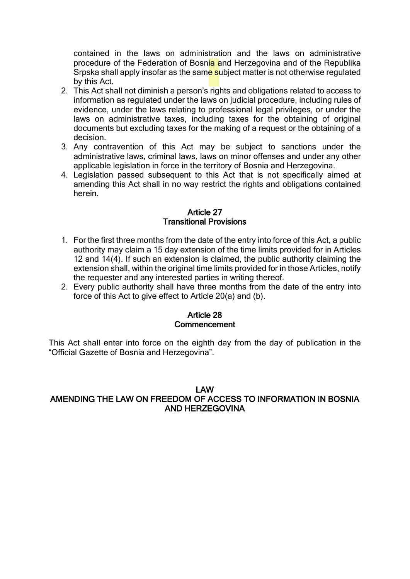contained in the laws on administration and the laws on administrative procedure of the Federation of Bosnia and Herzegovina and of the Republika Srpska shall apply insofar as the same subject matter is not otherwise regulated by this Act.

- 2. This Act shall not diminish a person's rights and obligations related to access to information as regulated under the laws on judicial procedure, including rules of evidence, under the laws relating to professional legal privileges, or under the laws on administrative taxes, including taxes for the obtaining of original documents but excluding taxes for the making of a request or the obtaining of a decision.
- 3. Any contravention of this Act may be subject to sanctions under the administrative laws, criminal laws, laws on minor offenses and under any other applicable legislation in force in the territory of Bosnia and Herzegovina.
- 4. Legislation passed subsequent to this Act that is not specifically aimed at amending this Act shall in no way restrict the rights and obligations contained herein.

#### Article 27 Transitional Provisions

- 1. For the first three months from the date of the entry into force of this Act, a public authority may claim a 15 day extension of the time limits provided for in Articles 12 and 14(4). If such an extension is claimed, the public authority claiming the extension shall, within the original time limits provided for in those Articles, notify the requester and any interested parties in writing thereof.
- 2. Every public authority shall have three months from the date of the entry into force of this Act to give effect to Article 20(a) and (b).

### Article 28 Commencement

This Act shall enter into force on the eighth day from the day of publication in the "Official Gazette of Bosnia and Herzegovina".

### LAW AMENDING THE LAW ON FREEDOM OF ACCESS TO INFORMATION IN BOSNIA AND HERZEGOVINA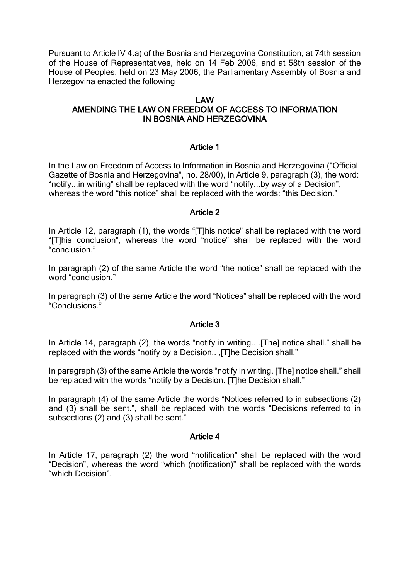Pursuant to Article IV 4.a) of the Bosnia and Herzegovina Constitution, at 74th session of the House of Representatives, held on 14 Feb 2006, and at 58th session of the House of Peoples, held on 23 May 2006, the Parliamentary Assembly of Bosnia and Herzegovina enacted the following

#### LAW

# AMENDING THE LAW ON FREEDOM OF ACCESS TO INFORMATION IN BOSNIA AND HERZEGOVINA

#### Article 1

In the Law on Freedom of Access to Information in Bosnia and Herzegovina ("Official Gazette of Bosnia and Herzegovina", no. 28/00), in Article 9, paragraph (3), the word: "notify...in writing" shall be replaced with the word "notify...by way of a Decision", whereas the word "this notice" shall be replaced with the words: "this Decision."

#### Article 2

In Article 12, paragraph (1), the words "[T]his notice" shall be replaced with the word "[T]his conclusion", whereas the word "notice" shall be replaced with the word "conclusion."

In paragraph (2) of the same Article the word "the notice" shall be replaced with the word "conclusion."

In paragraph (3) of the same Article the word "Notices" shall be replaced with the word "Conclusions."

### Article 3

In Article 14, paragraph (2), the words "notify in writing.. .[The] notice shall." shall be replaced with the words "notify by a Decision.. ,[T]he Decision shall."

In paragraph (3) of the same Article the words "notify in writing. [The] notice shall." shall be replaced with the words "notify by a Decision. [T]he Decision shall."

In paragraph (4) of the same Article the words "Notices referred to in subsections (2) and (3) shall be sent.", shall be replaced with the words "Decisions referred to in subsections (2) and (3) shall be sent."

#### Article 4

In Article 17, paragraph (2) the word "notification" shall be replaced with the word "Decision", whereas the word "which (notification)" shall be replaced with the words "which Decision".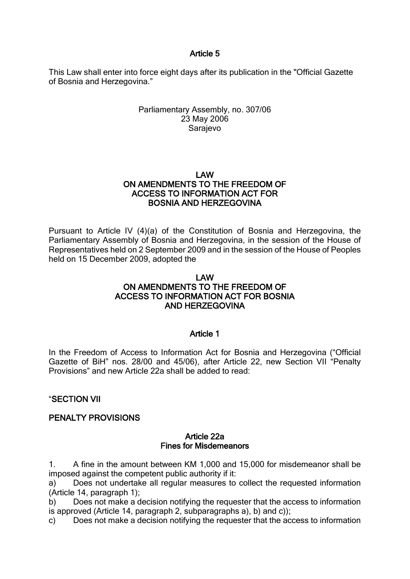### Article 5

This Law shall enter into force eight days after its publication in the "Official Gazette of Bosnia and Herzegovina."

#### Parliamentary Assembly, no. 307/06 23 May 2006 Sarajevo

#### LAW ON AMENDMENTS TO THE FREEDOM OF ACCESS TO INFORMATION ACT FOR BOSNIA AND HERZEGOVINA

Pursuant to Article IV (4)(a) of the Constitution of Bosnia and Herzegovina, the Parliamentary Assembly of Bosnia and Herzegovina, in the session of the House of Representatives held on 2 September 2009 and in the session of the House of Peoples held on 15 December 2009, adopted the

### LAW ON AMENDMENTS TO THE FREEDOM OF ACCESS TO INFORMATION ACT FOR BOSNIA AND HERZEGOVINA

## Article 1

In the Freedom of Access to Information Act for Bosnia and Herzegovina ("Official Gazette of BiH" nos. 28/00 and 45/06), after Article 22, new Section VII "Penalty Provisions" and new Article 22a shall be added to read:

## "SECTION VII

### PENALTY PROVISIONS

#### Article 22a Fines for Misdemeanors

1. A fine in the amount between KM 1,000 and 15,000 for misdemeanor shall be imposed against the competent public authority if it:

a) Does not undertake all regular measures to collect the requested information (Article 14, paragraph 1);

b) Does not make a decision notifying the requester that the access to information is approved (Article 14, paragraph 2, subparagraphs a), b) and c));

c) Does not make a decision notifying the requester that the access to information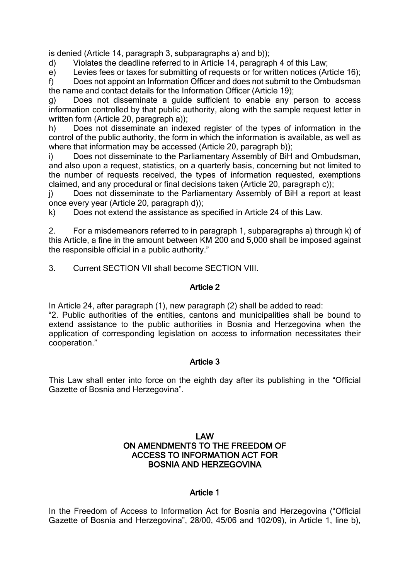is denied (Article 14, paragraph 3, subparagraphs a) and b));

d) Violates the deadline referred to in Article 14, paragraph 4 of this Law;

e) Levies fees or taxes for submitting of requests or for written notices (Article 16);

f) Does not appoint an Information Officer and does not submit to the Ombudsman the name and contact details for the Information Officer (Article 19);

g) Does not disseminate a guide sufficient to enable any person to access information controlled by that public authority, along with the sample request letter in written form (Article 20, paragraph a));

h) Does not disseminate an indexed register of the types of information in the control of the public authority, the form in which the information is available, as well as where that information may be accessed (Article 20, paragraph b));

i) Does not disseminate to the Parliamentary Assembly of BiH and Ombudsman, and also upon a request, statistics, on a quarterly basis, concerning but not limited to the number of requests received, the types of information requested, exemptions claimed, and any procedural or final decisions taken (Article 20, paragraph c));

j) Does not disseminate to the Parliamentary Assembly of BiH a report at least once every year (Article 20, paragraph d));

k) Does not extend the assistance as specified in Article 24 of this Law.

2. For a misdemeanors referred to in paragraph 1, subparagraphs a) through k) of this Article, a fine in the amount between KM 200 and 5,000 shall be imposed against the responsible official in a public authority."

3. Current SECTION VII shall become SECTION VIII.

### Article 2

In Article 24, after paragraph (1), new paragraph (2) shall be added to read:

"2. Public authorities of the entities, cantons and municipalities shall be bound to extend assistance to the public authorities in Bosnia and Herzegovina when the application of corresponding legislation on access to information necessitates their cooperation."

## Article 3

This Law shall enter into force on the eighth day after its publishing in the "Official Gazette of Bosnia and Herzegovina".

#### LAW ON AMENDMENTS TO THE FREEDOM OF ACCESS TO INFORMATION ACT FOR BOSNIA AND HERZEGOVINA

### Article 1

In the Freedom of Access to Information Act for Bosnia and Herzegovina ("Official Gazette of Bosnia and Herzegovina", 28/00, 45/06 and 102/09), in Article 1, line b),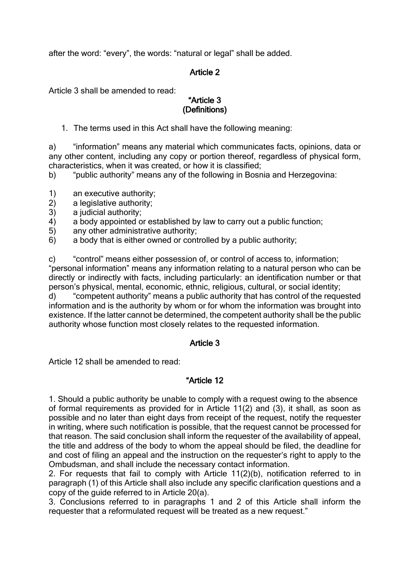after the word: "every", the words: "natural or legal" shall be added.

# Article 2

Article 3 shall be amended to read:

#### "Article 3 (Definitions)

1. The terms used in this Act shall have the following meaning:

a) "information" means any material which communicates facts, opinions, data or any other content, including any copy or portion thereof, regardless of physical form, characteristics, when it was created, or how it is classified;

b) "public authority" means any of the following in Bosnia and Herzegovina:

1) an executive authority;

- 2) a legislative authority;<br>3) a judicial authority;
- a judicial authority;
- 4) a body appointed or established by law to carry out a public function;
- 5) any other administrative authority;
- 6) a body that is either owned or controlled by a public authority;

c) "control" means either possession of, or control of access to, information; "personal information" means any information relating to a natural person who can be directly or indirectly with facts, including particularly: an identification number or that person's physical, mental, economic, ethnic, religious, cultural, or social identity;

d) "competent authority" means a public authority that has control of the requested information and is the authority by whom or for whom the information was brought into existence. If the latter cannot be determined, the competent authority shall be the public authority whose function most closely relates to the requested information.

## Article 3

Article 12 shall be amended to read:

# "Article 12

1. Should a public authority be unable to comply with a request owing to the absence of formal requirements as provided for in Article 11(2) and (3), it shall, as soon as possible and no later than eight days from receipt of the request, notify the requester in writing, where such notification is possible, that the request cannot be processed for that reason. The said conclusion shall inform the requester of the availability of appeal, the title and address of the body to whom the appeal should be filed, the deadline for and cost of filing an appeal and the instruction on the requester's right to apply to the Ombudsman, and shall include the necessary contact information.

2. For requests that fail to comply with Article 11(2)(b), notification referred to in paragraph (1) of this Article shall also include any specific clarification questions and a copy of the guide referred to in Article 20(a).

3. Conclusions referred to in paragraphs 1 and 2 of this Article shall inform the requester that a reformulated request will be treated as a new request."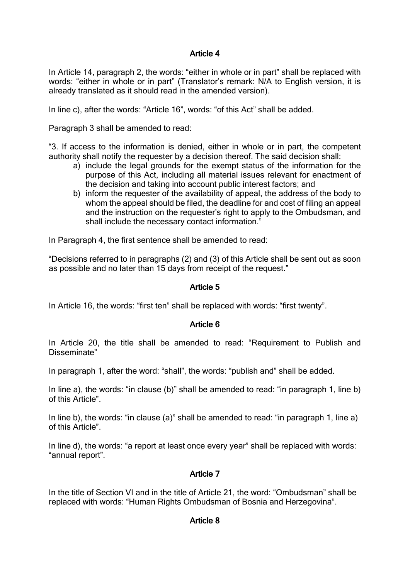### Article 4

In Article 14, paragraph 2, the words: "either in whole or in part" shall be replaced with words: "either in whole or in part" (Translator's remark: N/A to English version, it is already translated as it should read in the amended version).

In line c), after the words: "Article 16", words: "of this Act" shall be added.

Paragraph 3 shall be amended to read:

"3. If access to the information is denied, either in whole or in part, the competent authority shall notify the requester by a decision thereof. The said decision shall:

- a) include the legal grounds for the exempt status of the information for the purpose of this Act, including all material issues relevant for enactment of the decision and taking into account public interest factors; and
- b) inform the requester of the availability of appeal, the address of the body to whom the appeal should be filed, the deadline for and cost of filing an appeal and the instruction on the requester's right to apply to the Ombudsman, and shall include the necessary contact information."

In Paragraph 4, the first sentence shall be amended to read:

"Decisions referred to in paragraphs (2) and (3) of this Article shall be sent out as soon as possible and no later than 15 days from receipt of the request."

### Article 5

In Article 16, the words: "first ten" shall be replaced with words: "first twenty".

### Article 6

In Article 20, the title shall be amended to read: "Requirement to Publish and Disseminate"

In paragraph 1, after the word: "shall", the words: "publish and" shall be added.

In line a), the words: "in clause (b)" shall be amended to read: "in paragraph 1, line b) of this Article".

In line b), the words: "in clause (a)" shall be amended to read: "in paragraph 1, line a) of this Article".

In line d), the words: "a report at least once every year" shall be replaced with words: "annual report".

### Article 7

In the title of Section VI and in the title of Article 21, the word: "Ombudsman" shall be replaced with words: "Human Rights Ombudsman of Bosnia and Herzegovina".

### Article 8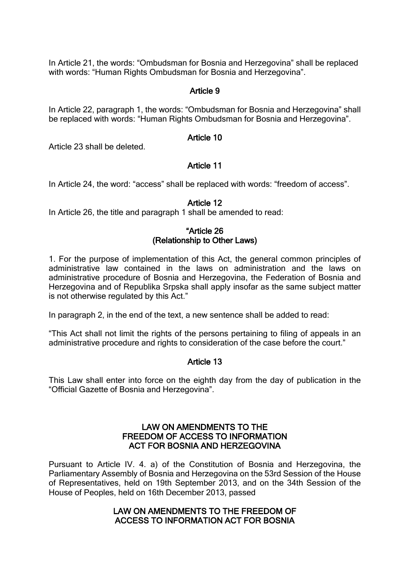In Article 21, the words: "Ombudsman for Bosnia and Herzegovina" shall be replaced with words: "Human Rights Ombudsman for Bosnia and Herzegovina".

### Article 9

In Article 22, paragraph 1, the words: "Ombudsman for Bosnia and Herzegovina" shall be replaced with words: "Human Rights Ombudsman for Bosnia and Herzegovina".

#### Article 10

Article 23 shall be deleted.

### Article 11

In Article 24, the word: "access" shall be replaced with words: "freedom of access".

#### Article 12

In Article 26, the title and paragraph 1 shall be amended to read:

## "Article 26 (Relationship to Other Laws)

1. For the purpose of implementation of this Act, the general common principles of administrative law contained in the laws on administration and the laws on administrative procedure of Bosnia and Herzegovina, the Federation of Bosnia and Herzegovina and of Republika Srpska shall apply insofar as the same subject matter is not otherwise regulated by this Act."

In paragraph 2, in the end of the text, a new sentence shall be added to read:

"This Act shall not limit the rights of the persons pertaining to filing of appeals in an administrative procedure and rights to consideration of the case before the court."

#### Article 13

This Law shall enter into force on the eighth day from the day of publication in the "Official Gazette of Bosnia and Herzegovina".

#### LAW ON AMENDMENTS TO THE FREEDOM OF ACCESS TO INFORMATION ACT FOR BOSNIA AND HERZEGOVINA

Pursuant to Article IV. 4. a) of the Constitution of Bosnia and Herzegovina, the Parliamentary Assembly of Bosnia and Herzegovina on the 53rd Session of the House of Representatives, held on 19th September 2013, and on the 34th Session of the House of Peoples, held on 16th December 2013, passed

### LAW ON AMENDMENTS TO THE FREEDOM OF ACCESS TO INFORMATION ACT FOR BOSNIA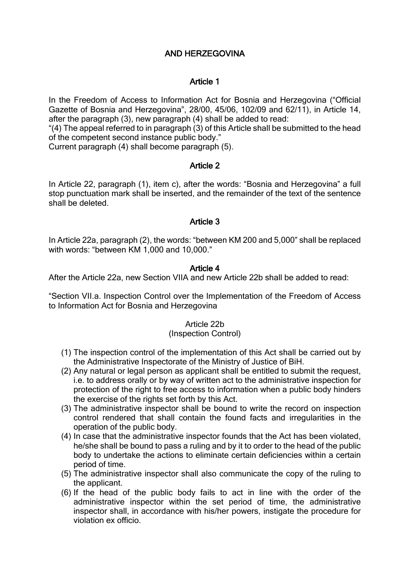# AND HERZEGOVINA

### Article 1

In the Freedom of Access to Information Act for Bosnia and Herzegovina ("Official Gazette of Bosnia and Herzegovina", 28/00, 45/06, 102/09 and 62/11), in Article 14, after the paragraph (3), new paragraph (4) shall be added to read:

"(4) The appeal referred to in paragraph (3) of this Article shall be submitted to the head of the competent second instance public body."

Current paragraph (4) shall become paragraph (5).

#### Article 2

In Article 22, paragraph (1), item c), after the words: "Bosnia and Herzegovina" a full stop punctuation mark shall be inserted, and the remainder of the text of the sentence shall be deleted.

### Article 3

In Article 22a, paragraph (2), the words: "between KM 200 and 5,000" shall be replaced with words: "between KM 1,000 and 10,000."

#### Article 4

After the Article 22a, new Section VIIA and new Article 22b shall be added to read:

"Section VII.a. Inspection Control over the Implementation of the Freedom of Access to Information Act for Bosnia and Herzegovina

#### Article 22b

#### (Inspection Control)

- (1) The inspection control of the implementation of this Act shall be carried out by the Administrative Inspectorate of the Ministry of Justice of BiH.
- (2) Any natural or legal person as applicant shall be entitled to submit the request, i.e. to address orally or by way of written act to the administrative inspection for protection of the right to free access to information when a public body hinders the exercise of the rights set forth by this Act.
- (3) The administrative inspector shall be bound to write the record on inspection control rendered that shall contain the found facts and irregularities in the operation of the public body.
- (4) In case that the administrative inspector founds that the Act has been violated, he/she shall be bound to pass a ruling and by it to order to the head of the public body to undertake the actions to eliminate certain deficiencies within a certain period of time.
- (5) The administrative inspector shall also communicate the copy of the ruling to the applicant.
- (6) If the head of the public body fails to act in line with the order of the administrative inspector within the set period of time, the administrative inspector shall, in accordance with his/her powers, instigate the procedure for violation ex officio.